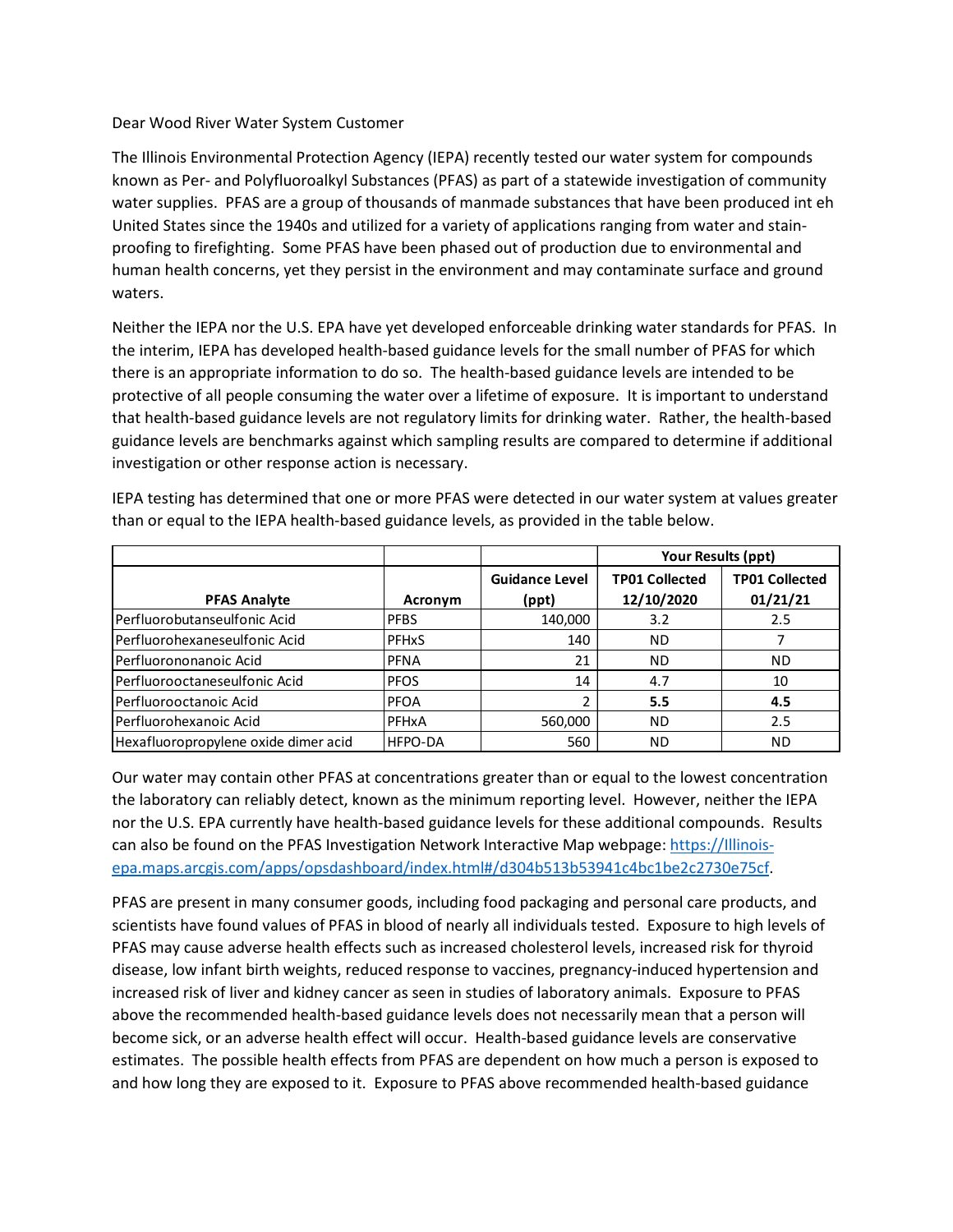## Dear Wood River Water System Customer

The Illinois Environmental Protection Agency (IEPA) recently tested our water system for compounds known as Per- and Polyfluoroalkyl Substances (PFAS) as part of a statewide investigation of community water supplies. PFAS are a group of thousands of manmade substances that have been produced int eh United States since the 1940s and utilized for a variety of applications ranging from water and stainproofing to firefighting. Some PFAS have been phased out of production due to environmental and human health concerns, yet they persist in the environment and may contaminate surface and ground waters.

Neither the IEPA nor the U.S. EPA have yet developed enforceable drinking water standards for PFAS. In the interim, IEPA has developed health-based guidance levels for the small number of PFAS for which there is an appropriate information to do so. The health-based guidance levels are intended to be protective of all people consuming the water over a lifetime of exposure. It is important to understand that health-based guidance levels are not regulatory limits for drinking water. Rather, the health-based guidance levels are benchmarks against which sampling results are compared to determine if additional investigation or other response action is necessary.

IEPA testing has determined that one or more PFAS were detected in our water system at values greater than or equal to the IEPA health-based guidance levels, as provided in the table below.

|                                      |                |                                | Your Results (ppt)                  |                                   |
|--------------------------------------|----------------|--------------------------------|-------------------------------------|-----------------------------------|
| <b>PFAS Analyte</b>                  | Acronym        | <b>Guidance Level</b><br>(ppt) | <b>TP01 Collected</b><br>12/10/2020 | <b>TP01 Collected</b><br>01/21/21 |
| lPerfluorobutanseulfonic Acid        | <b>PFBS</b>    | 140,000                        | 3.2                                 | 2.5                               |
| Perfluorohexaneseulfonic Acid        | <b>PFHxS</b>   | 140                            | ND.                                 |                                   |
| Perfluorononanoic Acid               | <b>PFNA</b>    | 21                             | ND.                                 | <b>ND</b>                         |
| Perfluorooctaneseulfonic Acid        | <b>PFOS</b>    | 14                             | 4.7                                 | 10                                |
| lPerfluorooctanoic Acid              | <b>PFOA</b>    |                                | 5.5                                 | 4.5                               |
| Perfluorohexanoic Acid               | PFHxA          | 560,000                        | ND.                                 | 2.5                               |
| Hexafluoropropylene oxide dimer acid | <b>HFPO-DA</b> | 560                            | <b>ND</b>                           | <b>ND</b>                         |

Our water may contain other PFAS at concentrations greater than or equal to the lowest concentration the laboratory can reliably detect, known as the minimum reporting level. However, neither the IEPA nor the U.S. EPA currently have health-based guidance levels for these additional compounds. Results can also be found on the PFAS Investigation Network Interactive Map webpage: https://Illinoisepa.maps.arcgis.com/apps/opsdashboard/index.html#/d304b513b53941c4bc1be2c2730e75cf.

PFAS are present in many consumer goods, including food packaging and personal care products, and scientists have found values of PFAS in blood of nearly all individuals tested. Exposure to high levels of PFAS may cause adverse health effects such as increased cholesterol levels, increased risk for thyroid disease, low infant birth weights, reduced response to vaccines, pregnancy-induced hypertension and increased risk of liver and kidney cancer as seen in studies of laboratory animals. Exposure to PFAS above the recommended health-based guidance levels does not necessarily mean that a person will become sick, or an adverse health effect will occur. Health-based guidance levels are conservative estimates. The possible health effects from PFAS are dependent on how much a person is exposed to and how long they are exposed to it. Exposure to PFAS above recommended health-based guidance